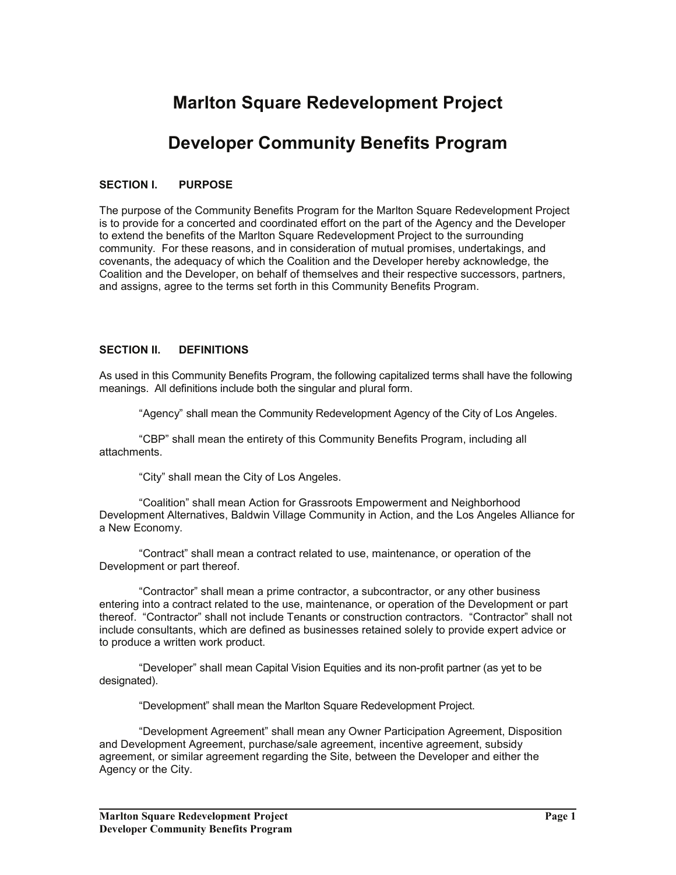# **Marlton Square Redevelopment Project**

# **Developer Community Benefits Program**

### **SECTION I. PURPOSE**

The purpose of the Community Benefits Program for the Marlton Square Redevelopment Project is to provide for a concerted and coordinated effort on the part of the Agency and the Developer to extend the benefits of the Marlton Square Redevelopment Project to the surrounding community. For these reasons, and in consideration of mutual promises, undertakings, and covenants, the adequacy of which the Coalition and the Developer hereby acknowledge, the Coalition and the Developer, on behalf of themselves and their respective successors, partners, and assigns, agree to the terms set forth in this Community Benefits Program.

#### **SECTION II. DEFINITIONS**

As used in this Community Benefits Program, the following capitalized terms shall have the following meanings. All definitions include both the singular and plural form.

"Agency" shall mean the Community Redevelopment Agency of the City of Los Angeles.

 "CBP" shall mean the entirety of this Community Benefits Program, including all attachments.

"City" shall mean the City of Los Angeles.

 "Coalition" shall mean Action for Grassroots Empowerment and Neighborhood Development Alternatives, Baldwin Village Community in Action, and the Los Angeles Alliance for a New Economy.

 "Contract" shall mean a contract related to use, maintenance, or operation of the Development or part thereof.

 "Contractor" shall mean a prime contractor, a subcontractor, or any other business entering into a contract related to the use, maintenance, or operation of the Development or part thereof. "Contractor" shall not include Tenants or construction contractors. "Contractor" shall not include consultants, which are defined as businesses retained solely to provide expert advice or to produce a written work product.

 "Developer" shall mean Capital Vision Equities and its non-profit partner (as yet to be designated).

"Development" shall mean the Marlton Square Redevelopment Project.

 "Development Agreement" shall mean any Owner Participation Agreement, Disposition and Development Agreement, purchase/sale agreement, incentive agreement, subsidy agreement, or similar agreement regarding the Site, between the Developer and either the Agency or the City.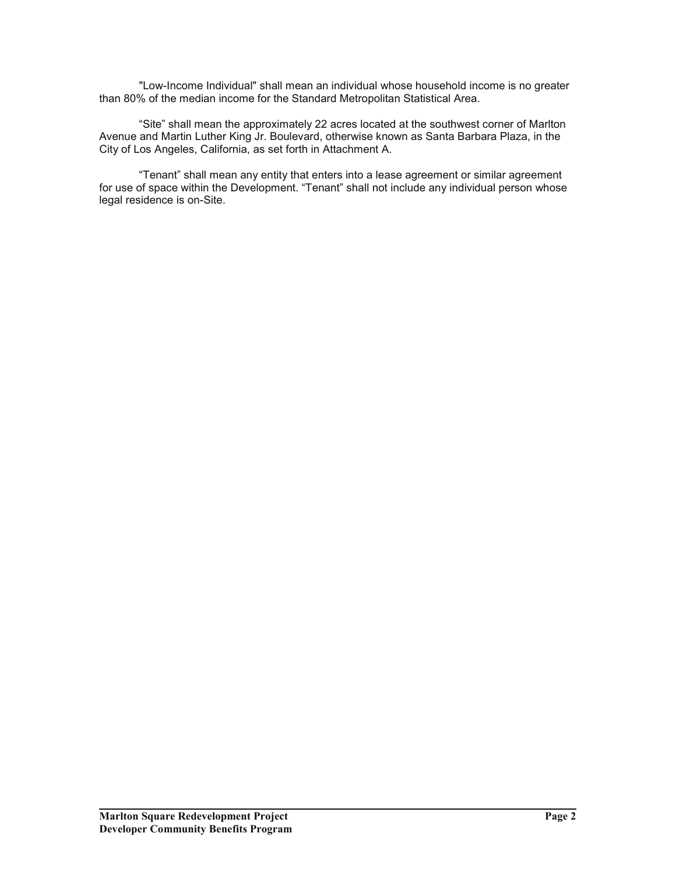"Low-Income Individual" shall mean an individual whose household income is no greater than 80% of the median income for the Standard Metropolitan Statistical Area.

 "Site" shall mean the approximately 22 acres located at the southwest corner of Marlton Avenue and Martin Luther King Jr. Boulevard, otherwise known as Santa Barbara Plaza, in the City of Los Angeles, California, as set forth in Attachment A.

 "Tenant" shall mean any entity that enters into a lease agreement or similar agreement for use of space within the Development. "Tenant" shall not include any individual person whose legal residence is on-Site.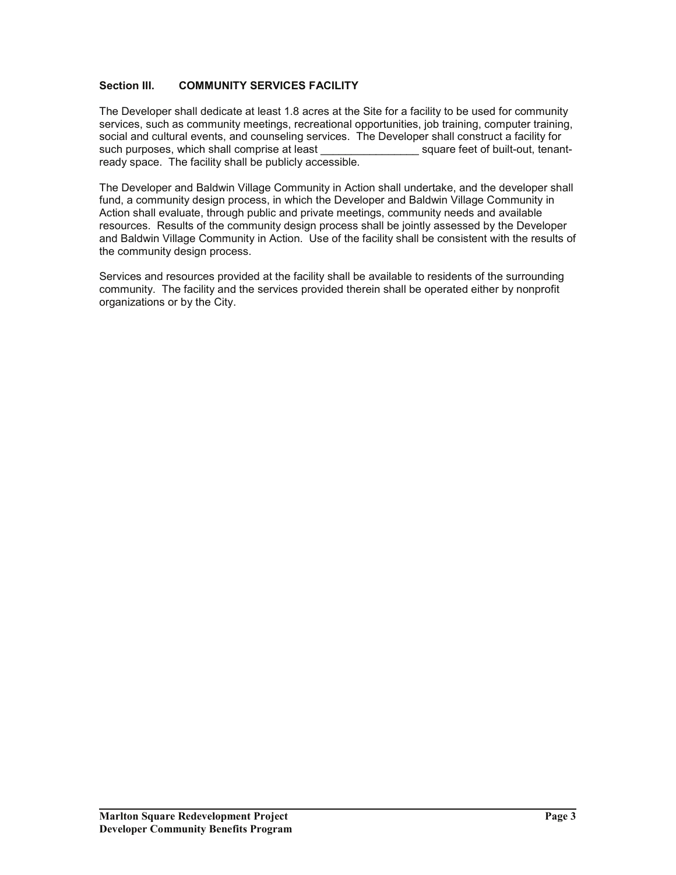### **Section III. COMMUNITY SERVICES FACILITY**

The Developer shall dedicate at least 1.8 acres at the Site for a facility to be used for community services, such as community meetings, recreational opportunities, job training, computer training, social and cultural events, and counseling services. The Developer shall construct a facility for such purposes, which shall comprise at least each square feet of built-out, tenantready space. The facility shall be publicly accessible.

The Developer and Baldwin Village Community in Action shall undertake, and the developer shall fund, a community design process, in which the Developer and Baldwin Village Community in Action shall evaluate, through public and private meetings, community needs and available resources. Results of the community design process shall be jointly assessed by the Developer and Baldwin Village Community in Action. Use of the facility shall be consistent with the results of the community design process.

Services and resources provided at the facility shall be available to residents of the surrounding community. The facility and the services provided therein shall be operated either by nonprofit organizations or by the City.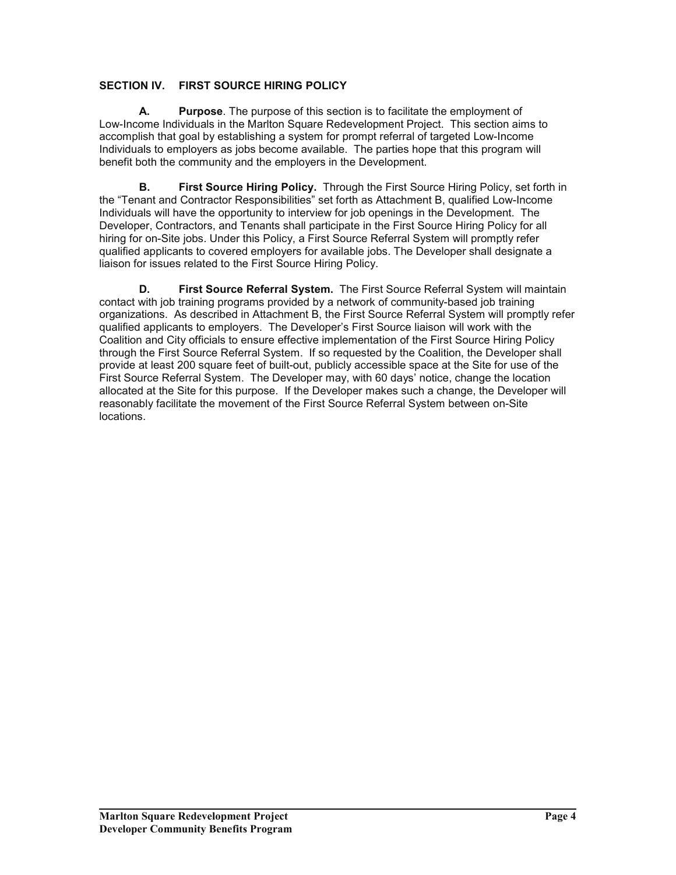### **SECTION IV. FIRST SOURCE HIRING POLICY**

**A. Purpose**. The purpose of this section is to facilitate the employment of Low-Income Individuals in the Marlton Square Redevelopment Project. This section aims to accomplish that goal by establishing a system for prompt referral of targeted Low-Income Individuals to employers as jobs become available. The parties hope that this program will benefit both the community and the employers in the Development.

**B.** First Source Hiring Policy. Through the First Source Hiring Policy, set forth in the "Tenant and Contractor Responsibilities" set forth as Attachment B, qualified Low-Income Individuals will have the opportunity to interview for job openings in the Development. The Developer, Contractors, and Tenants shall participate in the First Source Hiring Policy for all hiring for on-Site jobs. Under this Policy, a First Source Referral System will promptly refer qualified applicants to covered employers for available jobs. The Developer shall designate a liaison for issues related to the First Source Hiring Policy.

**D. First Source Referral System.** The First Source Referral System will maintain contact with job training programs provided by a network of community-based job training organizations. As described in Attachment B, the First Source Referral System will promptly refer qualified applicants to employers. The Developer's First Source liaison will work with the Coalition and City officials to ensure effective implementation of the First Source Hiring Policy through the First Source Referral System. If so requested by the Coalition, the Developer shall provide at least 200 square feet of built-out, publicly accessible space at the Site for use of the First Source Referral System. The Developer may, with 60 days' notice, change the location allocated at the Site for this purpose. If the Developer makes such a change, the Developer will reasonably facilitate the movement of the First Source Referral System between on-Site locations.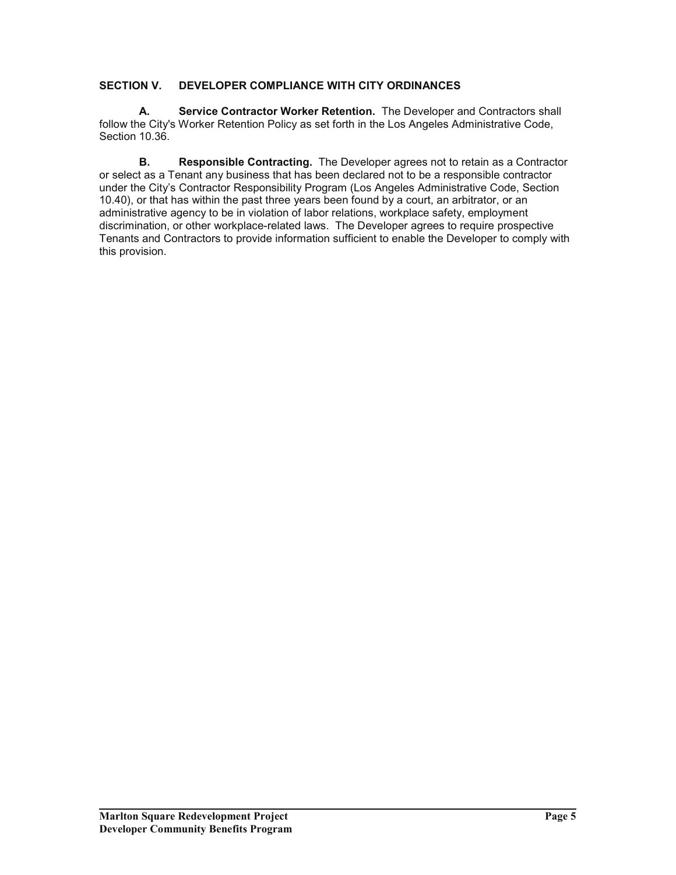### **SECTION V. DEVELOPER COMPLIANCE WITH CITY ORDINANCES**

 **A. Service Contractor Worker Retention.** The Developer and Contractors shall follow the City's Worker Retention Policy as set forth in the Los Angeles Administrative Code, Section 10.36.

**B.** Responsible Contracting. The Developer agrees not to retain as a Contractor or select as a Tenant any business that has been declared not to be a responsible contractor under the City's Contractor Responsibility Program (Los Angeles Administrative Code, Section 10.40), or that has within the past three years been found by a court, an arbitrator, or an administrative agency to be in violation of labor relations, workplace safety, employment discrimination, or other workplace-related laws. The Developer agrees to require prospective Tenants and Contractors to provide information sufficient to enable the Developer to comply with this provision.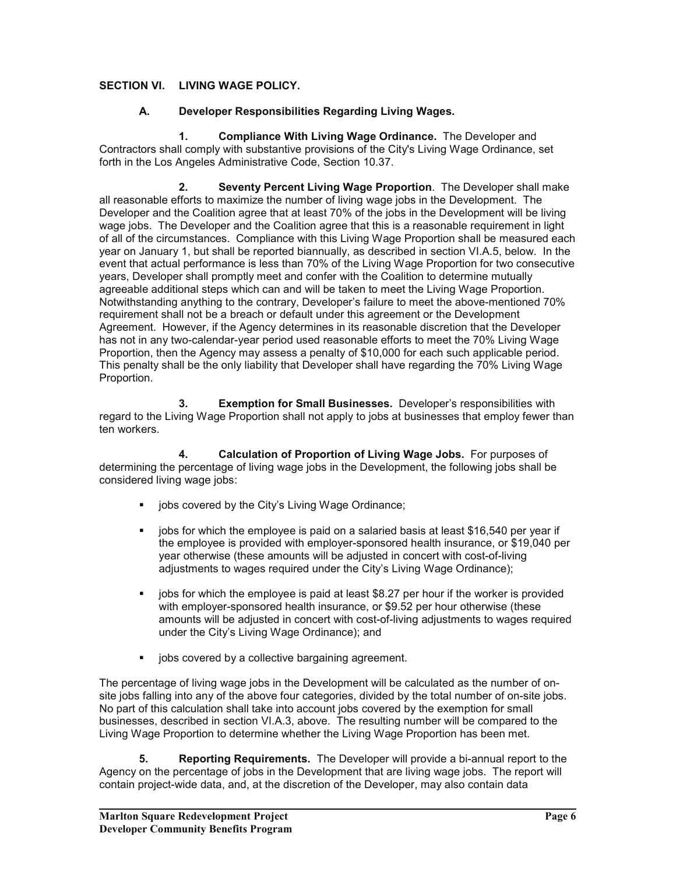### **SECTION VI. LIVING WAGE POLICY.**

### **A. Developer Responsibilities Regarding Living Wages.**

 **1. Compliance With Living Wage Ordinance.** The Developer and Contractors shall comply with substantive provisions of the City's Living Wage Ordinance, set forth in the Los Angeles Administrative Code, Section 10.37.

 **2. Seventy Percent Living Wage Proportion**. The Developer shall make all reasonable efforts to maximize the number of living wage jobs in the Development. The Developer and the Coalition agree that at least 70% of the jobs in the Development will be living wage jobs. The Developer and the Coalition agree that this is a reasonable requirement in light of all of the circumstances. Compliance with this Living Wage Proportion shall be measured each year on January 1, but shall be reported biannually, as described in section VI.A.5, below. In the event that actual performance is less than 70% of the Living Wage Proportion for two consecutive years, Developer shall promptly meet and confer with the Coalition to determine mutually agreeable additional steps which can and will be taken to meet the Living Wage Proportion. Notwithstanding anything to the contrary, Developer's failure to meet the above-mentioned 70% requirement shall not be a breach or default under this agreement or the Development Agreement. However, if the Agency determines in its reasonable discretion that the Developer has not in any two-calendar-year period used reasonable efforts to meet the 70% Living Wage Proportion, then the Agency may assess a penalty of \$10,000 for each such applicable period. This penalty shall be the only liability that Developer shall have regarding the 70% Living Wage Proportion.

 **3. Exemption for Small Businesses.** Developer's responsibilities with regard to the Living Wage Proportion shall not apply to jobs at businesses that employ fewer than ten workers.

 **4. Calculation of Proportion of Living Wage Jobs.** For purposes of determining the percentage of living wage jobs in the Development, the following jobs shall be considered living wage jobs:

- jobs covered by the City's Living Wage Ordinance;
- $\blacksquare$  jobs for which the employee is paid on a salaried basis at least \$16,540 per year if the employee is provided with employer-sponsored health insurance, or \$19,040 per year otherwise (these amounts will be adjusted in concert with cost-of-living adjustments to wages required under the City's Living Wage Ordinance);
- jobs for which the employee is paid at least \$8.27 per hour if the worker is provided with employer-sponsored health insurance, or \$9.52 per hour otherwise (these amounts will be adjusted in concert with cost-of-living adjustments to wages required under the City's Living Wage Ordinance); and
- jobs covered by a collective bargaining agreement.

The percentage of living wage jobs in the Development will be calculated as the number of onsite jobs falling into any of the above four categories, divided by the total number of on-site jobs. No part of this calculation shall take into account jobs covered by the exemption for small businesses, described in section VI.A.3, above. The resulting number will be compared to the Living Wage Proportion to determine whether the Living Wage Proportion has been met.

 **5. Reporting Requirements.** The Developer will provide a bi-annual report to the Agency on the percentage of jobs in the Development that are living wage jobs. The report will contain project-wide data, and, at the discretion of the Developer, may also contain data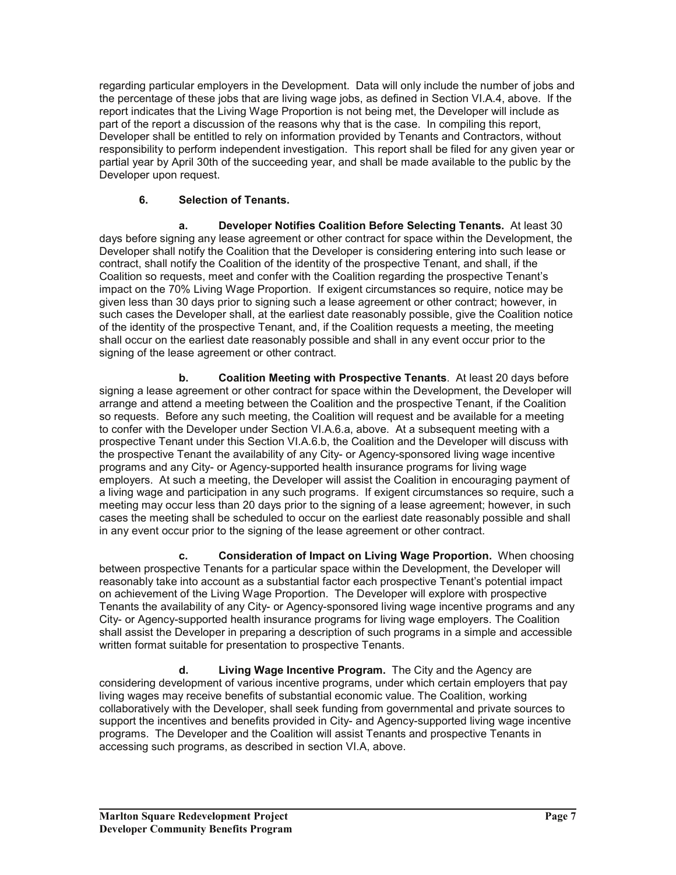regarding particular employers in the Development. Data will only include the number of jobs and the percentage of these jobs that are living wage jobs, as defined in Section VI.A.4, above. If the report indicates that the Living Wage Proportion is not being met, the Developer will include as part of the report a discussion of the reasons why that is the case. In compiling this report, Developer shall be entitled to rely on information provided by Tenants and Contractors, without responsibility to perform independent investigation. This report shall be filed for any given year or partial year by April 30th of the succeeding year, and shall be made available to the public by the Developer upon request.

# **6. Selection of Tenants.**

 **a. Developer Notifies Coalition Before Selecting Tenants.** At least 30 days before signing any lease agreement or other contract for space within the Development, the Developer shall notify the Coalition that the Developer is considering entering into such lease or contract, shall notify the Coalition of the identity of the prospective Tenant, and shall, if the Coalition so requests, meet and confer with the Coalition regarding the prospective Tenant's impact on the 70% Living Wage Proportion. If exigent circumstances so require, notice may be given less than 30 days prior to signing such a lease agreement or other contract; however, in such cases the Developer shall, at the earliest date reasonably possible, give the Coalition notice of the identity of the prospective Tenant, and, if the Coalition requests a meeting, the meeting shall occur on the earliest date reasonably possible and shall in any event occur prior to the signing of the lease agreement or other contract.

 **b. Coalition Meeting with Prospective Tenants**. At least 20 days before signing a lease agreement or other contract for space within the Development, the Developer will arrange and attend a meeting between the Coalition and the prospective Tenant, if the Coalition so requests. Before any such meeting, the Coalition will request and be available for a meeting to confer with the Developer under Section VI.A.6.a, above. At a subsequent meeting with a prospective Tenant under this Section VI.A.6.b, the Coalition and the Developer will discuss with the prospective Tenant the availability of any City- or Agency-sponsored living wage incentive programs and any City- or Agency-supported health insurance programs for living wage employers. At such a meeting, the Developer will assist the Coalition in encouraging payment of a living wage and participation in any such programs. If exigent circumstances so require, such a meeting may occur less than 20 days prior to the signing of a lease agreement; however, in such cases the meeting shall be scheduled to occur on the earliest date reasonably possible and shall in any event occur prior to the signing of the lease agreement or other contract.

 **c. Consideration of Impact on Living Wage Proportion.** When choosing between prospective Tenants for a particular space within the Development, the Developer will reasonably take into account as a substantial factor each prospective Tenant's potential impact on achievement of the Living Wage Proportion. The Developer will explore with prospective Tenants the availability of any City- or Agency-sponsored living wage incentive programs and any City- or Agency-supported health insurance programs for living wage employers. The Coalition shall assist the Developer in preparing a description of such programs in a simple and accessible written format suitable for presentation to prospective Tenants.

 **d. Living Wage Incentive Program.** The City and the Agency are considering development of various incentive programs, under which certain employers that pay living wages may receive benefits of substantial economic value. The Coalition, working collaboratively with the Developer, shall seek funding from governmental and private sources to support the incentives and benefits provided in City- and Agency-supported living wage incentive programs. The Developer and the Coalition will assist Tenants and prospective Tenants in accessing such programs, as described in section VI.A, above.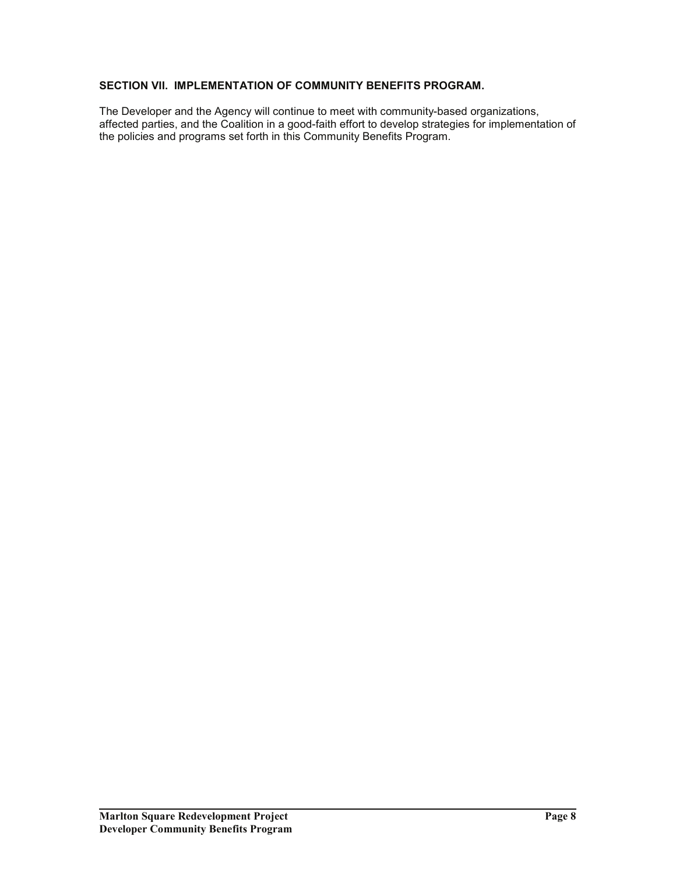### **SECTION VII. IMPLEMENTATION OF COMMUNITY BENEFITS PROGRAM.**

The Developer and the Agency will continue to meet with community-based organizations, affected parties, and the Coalition in a good-faith effort to develop strategies for implementation of the policies and programs set forth in this Community Benefits Program.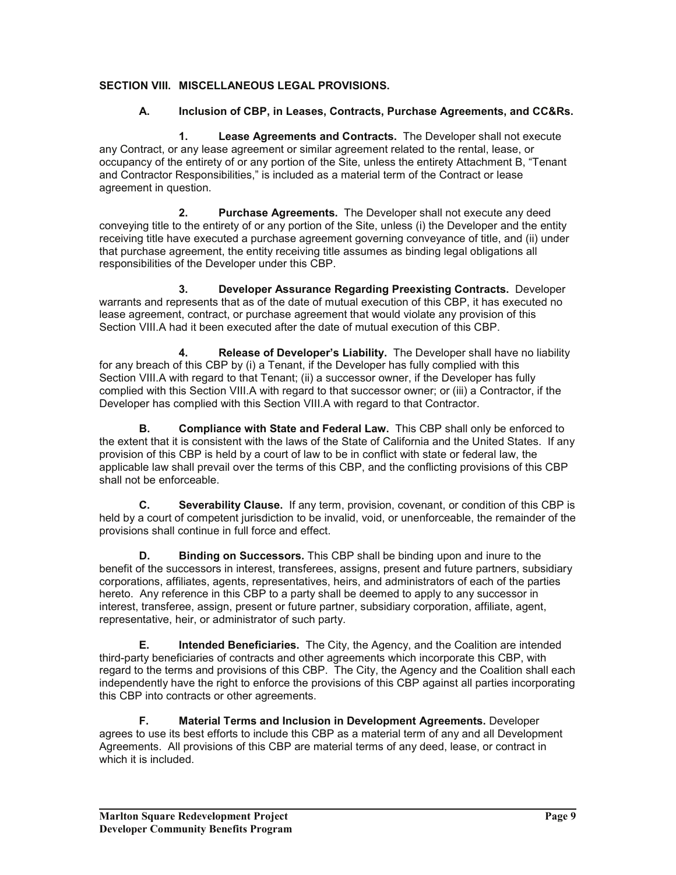### **SECTION VIII. MISCELLANEOUS LEGAL PROVISIONS.**

### **A. Inclusion of CBP, in Leases, Contracts, Purchase Agreements, and CC&Rs.**

 **1. Lease Agreements and Contracts.** The Developer shall not execute any Contract, or any lease agreement or similar agreement related to the rental, lease, or occupancy of the entirety of or any portion of the Site, unless the entirety Attachment B, "Tenant and Contractor Responsibilities," is included as a material term of the Contract or lease agreement in question.

 **2. Purchase Agreements.** The Developer shall not execute any deed conveying title to the entirety of or any portion of the Site, unless (i) the Developer and the entity receiving title have executed a purchase agreement governing conveyance of title, and (ii) under that purchase agreement, the entity receiving title assumes as binding legal obligations all responsibilities of the Developer under this CBP.

 **3. Developer Assurance Regarding Preexisting Contracts.** Developer warrants and represents that as of the date of mutual execution of this CBP, it has executed no lease agreement, contract, or purchase agreement that would violate any provision of this Section VIII.A had it been executed after the date of mutual execution of this CBP.

 **4. Release of Developer's Liability.** The Developer shall have no liability for any breach of this CBP by (i) a Tenant, if the Developer has fully complied with this Section VIII.A with regard to that Tenant; (ii) a successor owner, if the Developer has fully complied with this Section VIII.A with regard to that successor owner; or (iii) a Contractor, if the Developer has complied with this Section VIII.A with regard to that Contractor.

 **B. Compliance with State and Federal Law.** This CBP shall only be enforced to the extent that it is consistent with the laws of the State of California and the United States. If any provision of this CBP is held by a court of law to be in conflict with state or federal law, the applicable law shall prevail over the terms of this CBP, and the conflicting provisions of this CBP shall not be enforceable.

**C. Severability Clause.** If any term, provision, covenant, or condition of this CBP is held by a court of competent jurisdiction to be invalid, void, or unenforceable, the remainder of the provisions shall continue in full force and effect.

**D. Binding on Successors.** This CBP shall be binding upon and inure to the benefit of the successors in interest, transferees, assigns, present and future partners, subsidiary corporations, affiliates, agents, representatives, heirs, and administrators of each of the parties hereto. Any reference in this CBP to a party shall be deemed to apply to any successor in interest, transferee, assign, present or future partner, subsidiary corporation, affiliate, agent, representative, heir, or administrator of such party.

**E. Intended Beneficiaries.** The City, the Agency, and the Coalition are intended third-party beneficiaries of contracts and other agreements which incorporate this CBP, with regard to the terms and provisions of this CBP. The City, the Agency and the Coalition shall each independently have the right to enforce the provisions of this CBP against all parties incorporating this CBP into contracts or other agreements.

**F. Material Terms and Inclusion in Development Agreements.** Developer agrees to use its best efforts to include this CBP as a material term of any and all Development Agreements. All provisions of this CBP are material terms of any deed, lease, or contract in which it is included.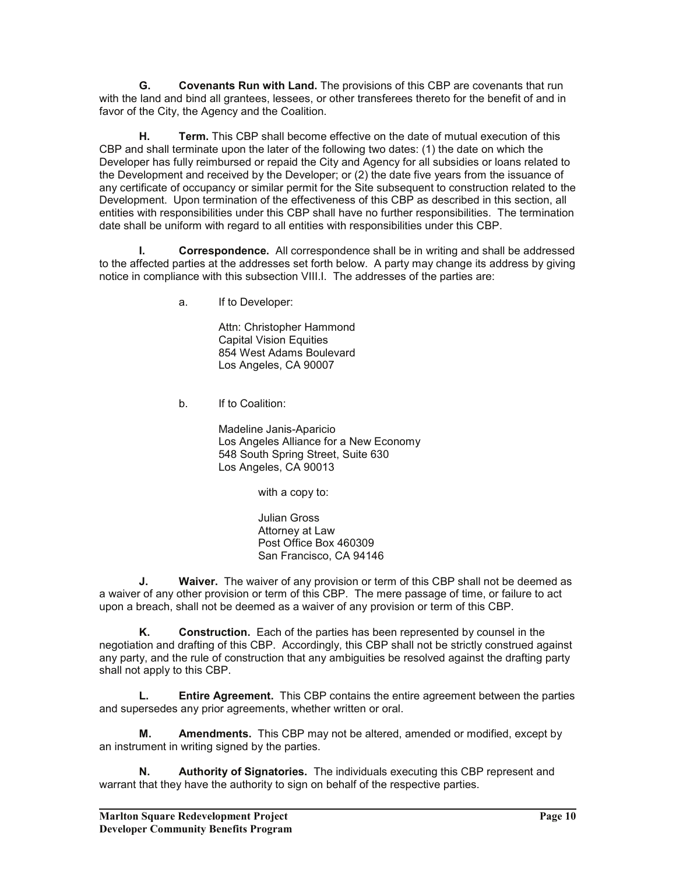**G. Covenants Run with Land.** The provisions of this CBP are covenants that run with the land and bind all grantees, lessees, or other transferees thereto for the benefit of and in favor of the City, the Agency and the Coalition.

**H. Term.** This CBP shall become effective on the date of mutual execution of this CBP and shall terminate upon the later of the following two dates: (1) the date on which the Developer has fully reimbursed or repaid the City and Agency for all subsidies or loans related to the Development and received by the Developer; or (2) the date five years from the issuance of any certificate of occupancy or similar permit for the Site subsequent to construction related to the Development. Upon termination of the effectiveness of this CBP as described in this section, all entities with responsibilities under this CBP shall have no further responsibilities. The termination date shall be uniform with regard to all entities with responsibilities under this CBP.

 **I. Correspondence.** All correspondence shall be in writing and shall be addressed to the affected parties at the addresses set forth below. A party may change its address by giving notice in compliance with this subsection VIII.I. The addresses of the parties are:

a. If to Developer:

 Attn: Christopher Hammond Capital Vision Equities 854 West Adams Boulevard Los Angeles, CA 90007

b. If to Coalition:

 Madeline Janis-Aparicio Los Angeles Alliance for a New Economy 548 South Spring Street, Suite 630 Los Angeles, CA 90013

with a copy to:

Julian Gross Attorney at Law Post Office Box 460309 San Francisco, CA 94146

**J.** Waiver. The waiver of any provision or term of this CBP shall not be deemed as a waiver of any other provision or term of this CBP. The mere passage of time, or failure to act upon a breach, shall not be deemed as a waiver of any provision or term of this CBP.

 **K. Construction.** Each of the parties has been represented by counsel in the negotiation and drafting of this CBP. Accordingly, this CBP shall not be strictly construed against any party, and the rule of construction that any ambiguities be resolved against the drafting party shall not apply to this CBP.

 **L. Entire Agreement.** This CBP contains the entire agreement between the parties and supersedes any prior agreements, whether written or oral.

 **M. Amendments.** This CBP may not be altered, amended or modified, except by an instrument in writing signed by the parties.

 **N. Authority of Signatories.** The individuals executing this CBP represent and warrant that they have the authority to sign on behalf of the respective parties.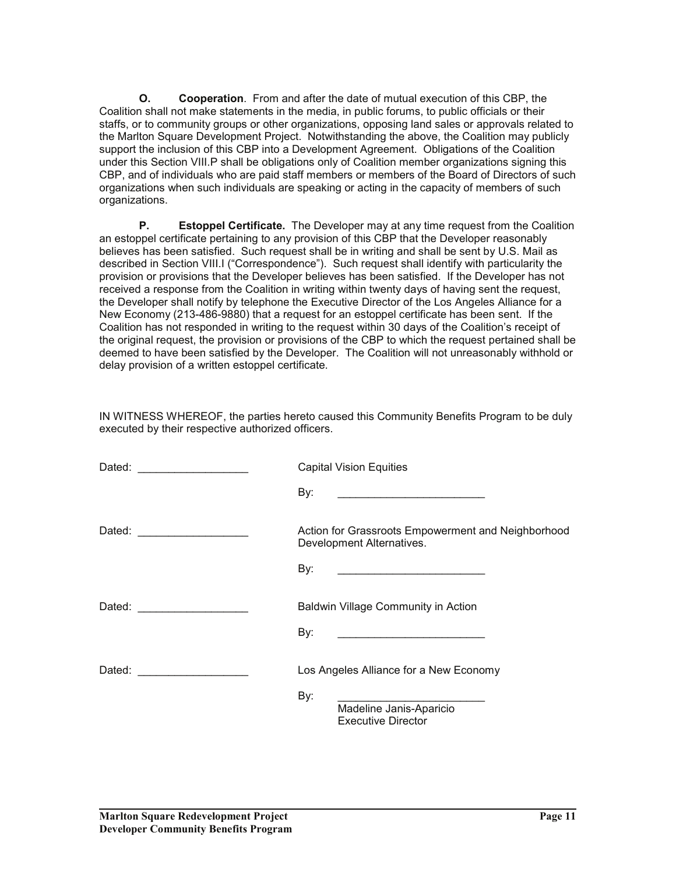**O. Cooperation**. From and after the date of mutual execution of this CBP, the Coalition shall not make statements in the media, in public forums, to public officials or their staffs, or to community groups or other organizations, opposing land sales or approvals related to the Marlton Square Development Project. Notwithstanding the above, the Coalition may publicly support the inclusion of this CBP into a Development Agreement. Obligations of the Coalition under this Section VIII.P shall be obligations only of Coalition member organizations signing this CBP, and of individuals who are paid staff members or members of the Board of Directors of such organizations when such individuals are speaking or acting in the capacity of members of such organizations.

**P. Estoppel Certificate.** The Developer may at any time request from the Coalition an estoppel certificate pertaining to any provision of this CBP that the Developer reasonably believes has been satisfied. Such request shall be in writing and shall be sent by U.S. Mail as described in Section VIII.I ("Correspondence"). Such request shall identify with particularity the provision or provisions that the Developer believes has been satisfied. If the Developer has not received a response from the Coalition in writing within twenty days of having sent the request, the Developer shall notify by telephone the Executive Director of the Los Angeles Alliance for a New Economy (213-486-9880) that a request for an estoppel certificate has been sent. If the Coalition has not responded in writing to the request within 30 days of the Coalition's receipt of the original request, the provision or provisions of the CBP to which the request pertained shall be deemed to have been satisfied by the Developer. The Coalition will not unreasonably withhold or delay provision of a written estoppel certificate.

| Dated: _______________________ | <b>Capital Vision Equities</b>                                                                                               |
|--------------------------------|------------------------------------------------------------------------------------------------------------------------------|
|                                | By:<br><u> 1999 - Johann Harry Harry Harry Harry Harry Harry Harry Harry Harry Harry Harry Harry Harry Harry Harry Harry</u> |
|                                | Action for Grassroots Empowerment and Neighborhood<br>Development Alternatives.                                              |
|                                | By:<br><u> 1999 - Johann Harry Harry Harry Harry Harry Harry Harry Harry Harry Harry Harry Harry Harry Harry Harry Harry</u> |
|                                | Baldwin Village Community in Action                                                                                          |
|                                | By:<br><u> 1999 - Johann Harry Harry Harry Harry Harry Harry Harry Harry Harry Harry Harry Harry Harry Harry Harry Harry</u> |
|                                | Los Angeles Alliance for a New Economy                                                                                       |
|                                | By:<br>Madeline Janis-Aparicio<br><b>Executive Director</b>                                                                  |

IN WITNESS WHEREOF, the parties hereto caused this Community Benefits Program to be duly executed by their respective authorized officers.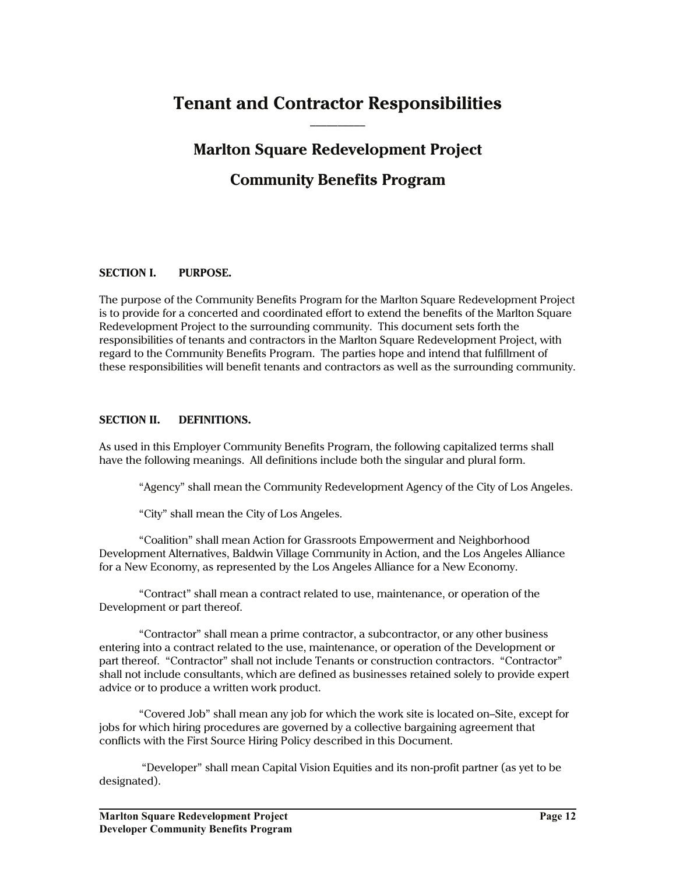# **Tenant and Contractor Responsibilities**   $\frac{1}{2}$

# **Marlton Square Redevelopment Project**

# **Community Benefits Program**

### **SECTION I. PURPOSE.**

The purpose of the Community Benefits Program for the Marlton Square Redevelopment Project is to provide for a concerted and coordinated effort to extend the benefits of the Marlton Square Redevelopment Project to the surrounding community. This document sets forth the responsibilities of tenants and contractors in the Marlton Square Redevelopment Project, with regard to the Community Benefits Program. The parties hope and intend that fulfillment of these responsibilities will benefit tenants and contractors as well as the surrounding community.

#### **SECTION II. DEFINITIONS.**

As used in this Employer Community Benefits Program, the following capitalized terms shall have the following meanings. All definitions include both the singular and plural form.

"Agency" shall mean the Community Redevelopment Agency of the City of Los Angeles.

"City" shall mean the City of Los Angeles.

 "Coalition" shall mean Action for Grassroots Empowerment and Neighborhood Development Alternatives, Baldwin Village Community in Action, and the Los Angeles Alliance for a New Economy, as represented by the Los Angeles Alliance for a New Economy.

 "Contract" shall mean a contract related to use, maintenance, or operation of the Development or part thereof.

 "Contractor" shall mean a prime contractor, a subcontractor, or any other business entering into a contract related to the use, maintenance, or operation of the Development or part thereof. "Contractor" shall not include Tenants or construction contractors. "Contractor" shall not include consultants, which are defined as businesses retained solely to provide expert advice or to produce a written work product.

 "Covered Job" shall mean any job for which the work site is located on–Site, except for jobs for which hiring procedures are governed by a collective bargaining agreement that conflicts with the First Source Hiring Policy described in this Document.

 "Developer" shall mean Capital Vision Equities and its non-profit partner (as yet to be designated).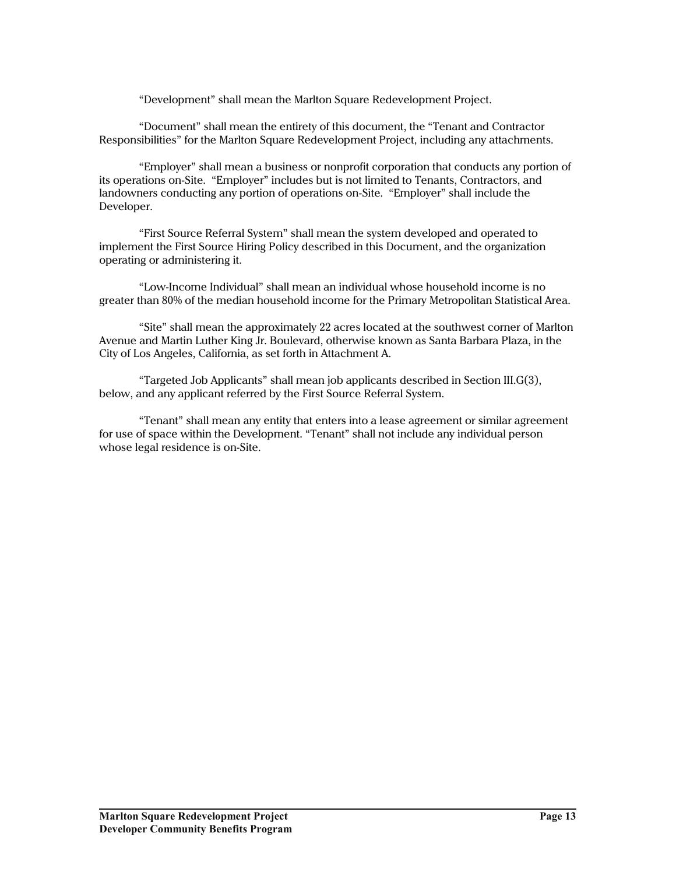"Development" shall mean the Marlton Square Redevelopment Project.

 "Document" shall mean the entirety of this document, the "Tenant and Contractor Responsibilities" for the Marlton Square Redevelopment Project, including any attachments.

 "Employer" shall mean a business or nonprofit corporation that conducts any portion of its operations on-Site. "Employer" includes but is not limited to Tenants, Contractors, and landowners conducting any portion of operations on-Site. "Employer" shall include the Developer.

 "First Source Referral System" shall mean the system developed and operated to implement the First Source Hiring Policy described in this Document, and the organization operating or administering it.

 "Low-Income Individual" shall mean an individual whose household income is no greater than 80% of the median household income for the Primary Metropolitan Statistical Area.

 "Site" shall mean the approximately 22 acres located at the southwest corner of Marlton Avenue and Martin Luther King Jr. Boulevard, otherwise known as Santa Barbara Plaza, in the City of Los Angeles, California, as set forth in Attachment A.

 "Targeted Job Applicants" shall mean job applicants described in Section III.G(3), below, and any applicant referred by the First Source Referral System.

 "Tenant" shall mean any entity that enters into a lease agreement or similar agreement for use of space within the Development. "Tenant" shall not include any individual person whose legal residence is on-Site.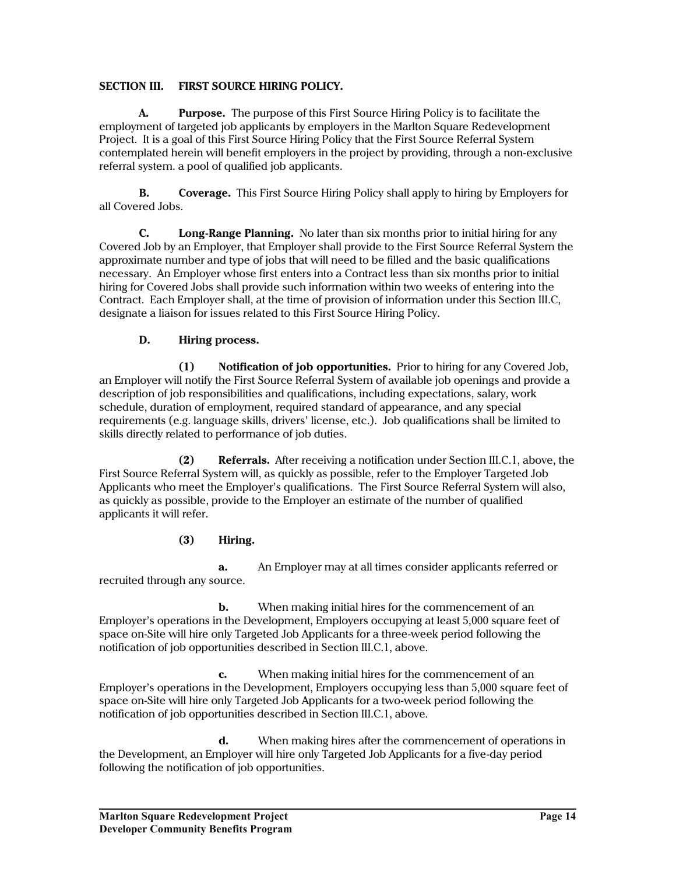### **SECTION III. FIRST SOURCE HIRING POLICY.**

 **A. Purpose.** The purpose of this First Source Hiring Policy is to facilitate the employment of targeted job applicants by employers in the Marlton Square Redevelopment Project. It is a goal of this First Source Hiring Policy that the First Source Referral System contemplated herein will benefit employers in the project by providing, through a non-exclusive referral system. a pool of qualified job applicants.

**B. Coverage.** This First Source Hiring Policy shall apply to hiring by Employers for all Covered Jobs.

 **C. Long-Range Planning.** No later than six months prior to initial hiring for any Covered Job by an Employer, that Employer shall provide to the First Source Referral System the approximate number and type of jobs that will need to be filled and the basic qualifications necessary. An Employer whose first enters into a Contract less than six months prior to initial hiring for Covered Jobs shall provide such information within two weeks of entering into the Contract. Each Employer shall, at the time of provision of information under this Section III.C, designate a liaison for issues related to this First Source Hiring Policy.

### **D. Hiring process.**

 **(1) Notification of job opportunities.** Prior to hiring for any Covered Job, an Employer will notify the First Source Referral System of available job openings and provide a description of job responsibilities and qualifications, including expectations, salary, work schedule, duration of employment, required standard of appearance, and any special requirements (e.g. language skills, drivers' license, etc.). Job qualifications shall be limited to skills directly related to performance of job duties.

 **(2) Referrals.** After receiving a notification under Section III.C.1, above, the First Source Referral System will, as quickly as possible, refer to the Employer Targeted Job Applicants who meet the Employer's qualifications. The First Source Referral System will also, as quickly as possible, provide to the Employer an estimate of the number of qualified applicants it will refer.

### **(3) Hiring.**

 **a.** An Employer may at all times consider applicants referred or recruited through any source.

**b.** When making initial hires for the commencement of an Employer's operations in the Development, Employers occupying at least 5,000 square feet of space on-Site will hire only Targeted Job Applicants for a three-week period following the notification of job opportunities described in Section III.C.1, above.

 **c.** When making initial hires for the commencement of an Employer's operations in the Development, Employers occupying less than 5,000 square feet of space on-Site will hire only Targeted Job Applicants for a two-week period following the notification of job opportunities described in Section III.C.1, above.

 **d.** When making hires after the commencement of operations in the Development, an Employer will hire only Targeted Job Applicants for a five-day period following the notification of job opportunities.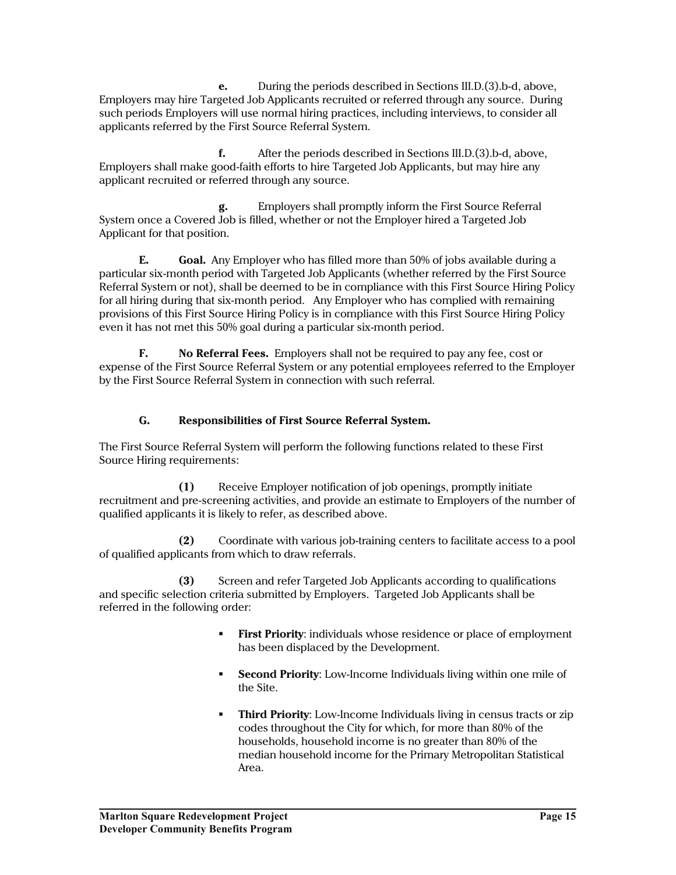**e.** During the periods described in Sections III.D.(3).b-d, above, Employers may hire Targeted Job Applicants recruited or referred through any source. During such periods Employers will use normal hiring practices, including interviews, to consider all applicants referred by the First Source Referral System.

 **f.** After the periods described in Sections III.D.(3).b-d, above, Employers shall make good-faith efforts to hire Targeted Job Applicants, but may hire any applicant recruited or referred through any source.

 **g.** Employers shall promptly inform the First Source Referral System once a Covered Job is filled, whether or not the Employer hired a Targeted Job Applicant for that position.

**E. Goal.** Any Employer who has filled more than 50% of jobs available during a particular six-month period with Targeted Job Applicants (whether referred by the First Source Referral System or not), shall be deemed to be in compliance with this First Source Hiring Policy for all hiring during that six-month period. Any Employer who has complied with remaining provisions of this First Source Hiring Policy is in compliance with this First Source Hiring Policy even it has not met this 50% goal during a particular six-month period.

**F. No Referral Fees.** Employers shall not be required to pay any fee, cost or expense of the First Source Referral System or any potential employees referred to the Employer by the First Source Referral System in connection with such referral.

## **G. Responsibilities of First Source Referral System.**

The First Source Referral System will perform the following functions related to these First Source Hiring requirements:

 **(1)** Receive Employer notification of job openings, promptly initiate recruitment and pre-screening activities, and provide an estimate to Employers of the number of qualified applicants it is likely to refer, as described above.

 **(2)** Coordinate with various job-training centers to facilitate access to a pool of qualified applicants from which to draw referrals.

 **(3)** Screen and refer Targeted Job Applicants according to qualifications and specific selection criteria submitted by Employers. Targeted Job Applicants shall be referred in the following order:

- **First Priority:** individuals whose residence or place of employment has been displaced by the Development.
- **Second Priority:** Low-Income Individuals living within one mile of the Site.
- **Third Priority**: Low-Income Individuals living in census tracts or zip codes throughout the City for which, for more than 80% of the households, household income is no greater than 80% of the median household income for the Primary Metropolitan Statistical Area.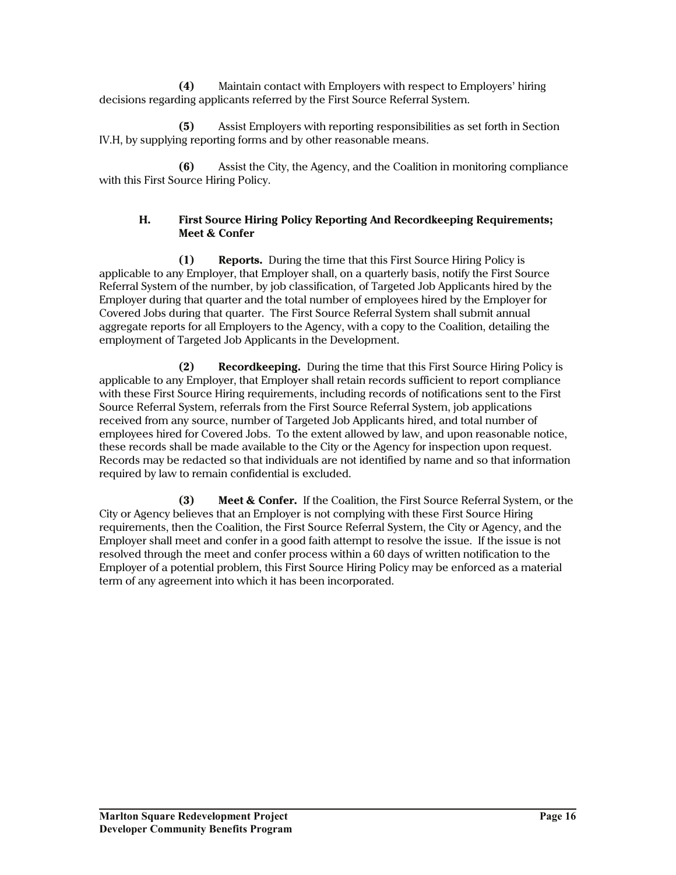**(4)** Maintain contact with Employers with respect to Employers' hiring decisions regarding applicants referred by the First Source Referral System.

 **(5)** Assist Employers with reporting responsibilities as set forth in Section IV.H, by supplying reporting forms and by other reasonable means.

 **(6)** Assist the City, the Agency, and the Coalition in monitoring compliance with this First Source Hiring Policy.

### **H. First Source Hiring Policy Reporting And Recordkeeping Requirements; Meet & Confer**

 **(1) Reports.** During the time that this First Source Hiring Policy is applicable to any Employer, that Employer shall, on a quarterly basis, notify the First Source Referral System of the number, by job classification, of Targeted Job Applicants hired by the Employer during that quarter and the total number of employees hired by the Employer for Covered Jobs during that quarter. The First Source Referral System shall submit annual aggregate reports for all Employers to the Agency, with a copy to the Coalition, detailing the employment of Targeted Job Applicants in the Development.

 **(2) Recordkeeping.** During the time that this First Source Hiring Policy is applicable to any Employer, that Employer shall retain records sufficient to report compliance with these First Source Hiring requirements, including records of notifications sent to the First Source Referral System, referrals from the First Source Referral System, job applications received from any source, number of Targeted Job Applicants hired, and total number of employees hired for Covered Jobs. To the extent allowed by law, and upon reasonable notice, these records shall be made available to the City or the Agency for inspection upon request. Records may be redacted so that individuals are not identified by name and so that information required by law to remain confidential is excluded.

 **(3) Meet & Confer.** If the Coalition, the First Source Referral System, or the City or Agency believes that an Employer is not complying with these First Source Hiring requirements, then the Coalition, the First Source Referral System, the City or Agency, and the Employer shall meet and confer in a good faith attempt to resolve the issue. If the issue is not resolved through the meet and confer process within a 60 days of written notification to the Employer of a potential problem, this First Source Hiring Policy may be enforced as a material term of any agreement into which it has been incorporated.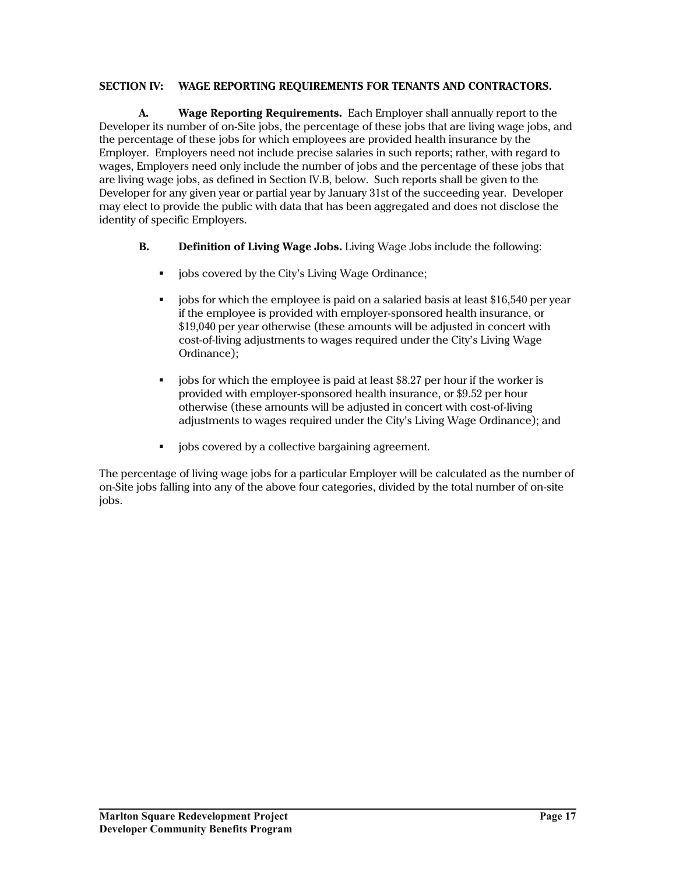### **SECTION IV: WAGE REPORTING REQUIREMENTS FOR TENANTS AND CONTRACTORS.**

 **A. Wage Reporting Requirements.** Each Employer shall annually report to the Developer its number of on-Site jobs, the percentage of these jobs that are living wage jobs, and the percentage of these jobs for which employees are provided health insurance by the Employer. Employers need not include precise salaries in such reports; rather, with regard to wages, Employers need only include the number of jobs and the percentage of these jobs that are living wage jobs, as defined in Section IV.B, below. Such reports shall be given to the Developer for any given year or partial year by January 31st of the succeeding year. Developer may elect to provide the public with data that has been aggregated and does not disclose the identity of specific Employers.

- **B. Definition of Living Wage Jobs.** Living Wage Jobs include the following:
	- **•** jobs covered by the City's Living Wage Ordinance;
	- jobs for which the employee is paid on a salaried basis at least \$16,540 per year if the employee is provided with employer-sponsored health insurance, or \$19,040 per year otherwise (these amounts will be adjusted in concert with cost-of-living adjustments to wages required under the City's Living Wage Ordinance);
	- jobs for which the employee is paid at least \$8.27 per hour if the worker is provided with employer-sponsored health insurance, or \$9.52 per hour otherwise (these amounts will be adjusted in concert with cost-of-living adjustments to wages required under the City's Living Wage Ordinance); and
	- jobs covered by a collective bargaining agreement.

The percentage of living wage jobs for a particular Employer will be calculated as the number of on-Site jobs falling into any of the above four categories, divided by the total number of on-site jobs.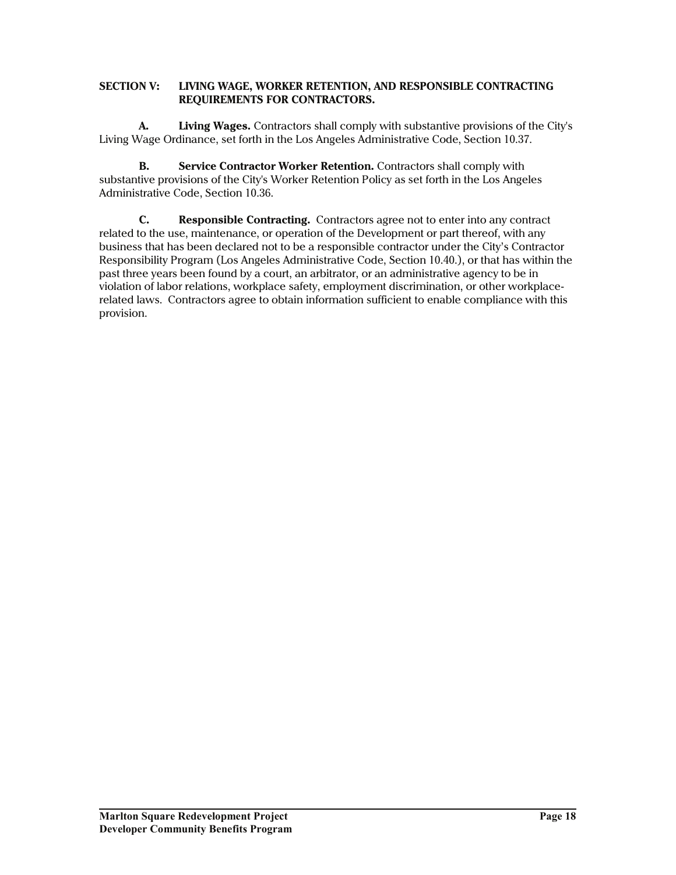#### **SECTION V: LIVING WAGE, WORKER RETENTION, AND RESPONSIBLE CONTRACTING REQUIREMENTS FOR CONTRACTORS.**

 **A. Living Wages.** Contractors shall comply with substantive provisions of the City's Living Wage Ordinance, set forth in the Los Angeles Administrative Code, Section 10.37.

**B. Service Contractor Worker Retention.** Contractors shall comply with substantive provisions of the City's Worker Retention Policy as set forth in the Los Angeles Administrative Code, Section 10.36.

**C. Responsible Contracting.** Contractors agree not to enter into any contract related to the use, maintenance, or operation of the Development or part thereof, with any business that has been declared not to be a responsible contractor under the City's Contractor Responsibility Program (Los Angeles Administrative Code, Section 10.40.), or that has within the past three years been found by a court, an arbitrator, or an administrative agency to be in violation of labor relations, workplace safety, employment discrimination, or other workplacerelated laws. Contractors agree to obtain information sufficient to enable compliance with this provision.